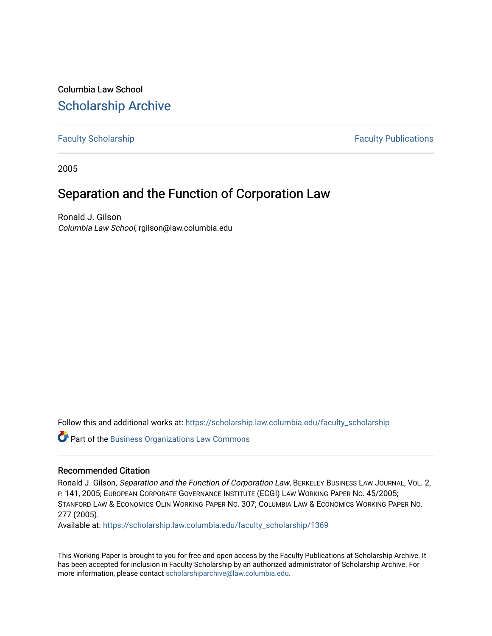Columbia Law School [Scholarship Archive](https://scholarship.law.columbia.edu/) 

[Faculty Scholarship](https://scholarship.law.columbia.edu/faculty_scholarship) **Faculty Scholarship Faculty Publications** 

2005

# Separation and the Function of Corporation Law

Ronald J. Gilson Columbia Law School, rgilson@law.columbia.edu

Follow this and additional works at: [https://scholarship.law.columbia.edu/faculty\\_scholarship](https://scholarship.law.columbia.edu/faculty_scholarship?utm_source=scholarship.law.columbia.edu%2Ffaculty_scholarship%2F1369&utm_medium=PDF&utm_campaign=PDFCoverPages)

**Part of the [Business Organizations Law Commons](http://network.bepress.com/hgg/discipline/900?utm_source=scholarship.law.columbia.edu%2Ffaculty_scholarship%2F1369&utm_medium=PDF&utm_campaign=PDFCoverPages)** 

#### Recommended Citation

Ronald J. Gilson, Separation and the Function of Corporation Law, BERKELEY BUSINESS LAW JOURNAL, VOL. 2, P. 141, 2005; EUROPEAN CORPORATE GOVERNANCE INSTITUTE (ECGI) LAW WORKING PAPER NO. 45/2005; STANFORD LAW & ECONOMICS OLIN WORKING PAPER NO. 307; COLUMBIA LAW & ECONOMICS WORKING PAPER NO. 277 (2005).

Available at: [https://scholarship.law.columbia.edu/faculty\\_scholarship/1369](https://scholarship.law.columbia.edu/faculty_scholarship/1369?utm_source=scholarship.law.columbia.edu%2Ffaculty_scholarship%2F1369&utm_medium=PDF&utm_campaign=PDFCoverPages)

This Working Paper is brought to you for free and open access by the Faculty Publications at Scholarship Archive. It has been accepted for inclusion in Faculty Scholarship by an authorized administrator of Scholarship Archive. For more information, please contact [scholarshiparchive@law.columbia.edu.](mailto:scholarshiparchive@law.columbia.edu)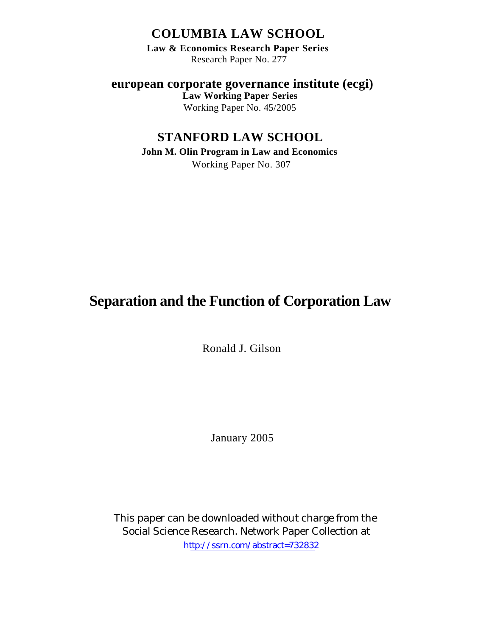## **COLUMBIA LAW SCHOOL**

**Law & Economics Research Paper Series** Research Paper No. 277

**european corporate governance institute (ecgi) Law Working Paper Series**

Working Paper No. 45/2005

# **STANFORD LAW SCHOOL**

**John M. Olin Program in Law and Economics** Working Paper No. 307

# **Separation and the Function of Corporation Law**

Ronald J. Gilson

January 2005

This paper can be downloaded without charge from the Social Science Research. Network Paper Collection at [http://ssrn.com/abstract=732832](http://papers.ssrn.com/abstract=475982)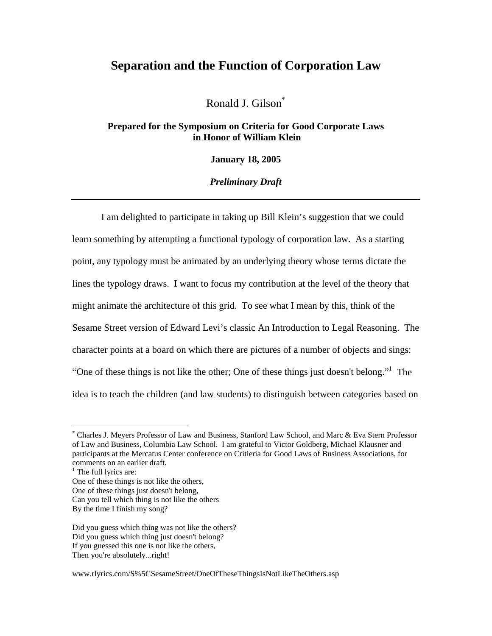### **Separation and the Function of Corporation Law**

Ronald J. Gilson\*

**Prepared for the Symposium on Criteria for Good Corporate Laws in Honor of William Klein** 

**January 18, 2005** 

*Preliminary Draft* 

 I am delighted to participate in taking up Bill Klein's suggestion that we could learn something by attempting a functional typology of corporation law. As a starting point, any typology must be animated by an underlying theory whose terms dictate the lines the typology draws. I want to focus my contribution at the level of the theory that might animate the architecture of this grid. To see what I mean by this, think of the Sesame Street version of Edward Levi's classic An Introduction to Legal Reasoning. The character points at a board on which there are pictures of a number of objects and sings: "One of these things is not like the other; One of these things just doesn't belong."<sup>1</sup> The idea is to teach the children (and law students) to distinguish between categories based on

1

One of these things is not like the others,

<sup>\*</sup> Charles J. Meyers Professor of Law and Business, Stanford Law School, and Marc & Eva Stern Professor of Law and Business, Columbia Law School. I am grateful to Victor Goldberg, Michael Klausner and participants at the Mercatus Center conference on Critieria for Good Laws of Business Associations, for comments on an earlier draft.

<sup>&</sup>lt;sup>1</sup> The full lyrics are:

One of these things just doesn't belong,

Can you tell which thing is not like the others

By the time I finish my song?

Did you guess which thing was not like the others? Did you guess which thing just doesn't belong? If you guessed this one is not like the others, Then you're absolutely...right!

www.rlyrics.com/S%5CSesameStreet/OneOfTheseThingsIsNotLikeTheOthers.asp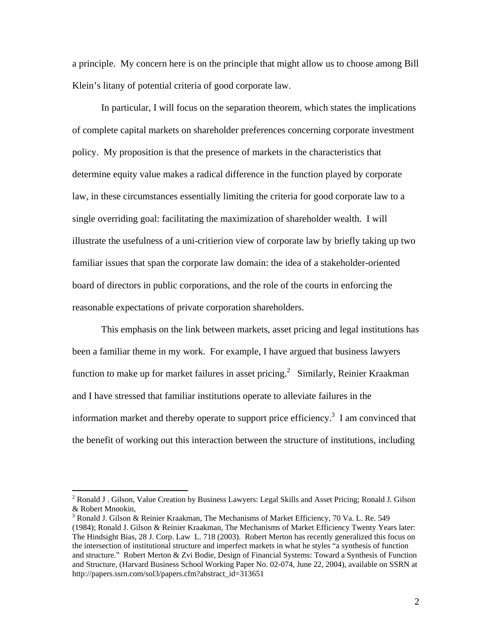a principle. My concern here is on the principle that might allow us to choose among Bill Klein's litany of potential criteria of good corporate law.

In particular, I will focus on the separation theorem, which states the implications of complete capital markets on shareholder preferences concerning corporate investment policy. My proposition is that the presence of markets in the characteristics that determine equity value makes a radical difference in the function played by corporate law, in these circumstances essentially limiting the criteria for good corporate law to a single overriding goal: facilitating the maximization of shareholder wealth. I will illustrate the usefulness of a uni-critierion view of corporate law by briefly taking up two familiar issues that span the corporate law domain: the idea of a stakeholder-oriented board of directors in public corporations, and the role of the courts in enforcing the reasonable expectations of private corporation shareholders.

This emphasis on the link between markets, asset pricing and legal institutions has been a familiar theme in my work. For example, I have argued that business lawyers function to make up for market failures in asset pricing.<sup>2</sup> Similarly, Reinier Kraakman and I have stressed that familiar institutions operate to alleviate failures in the information market and thereby operate to support price efficiency.<sup>3</sup> I am convinced that the benefit of working out this interaction between the structure of institutions, including

<sup>&</sup>lt;sup>2</sup> Ronald J . Gilson, Value Creation by Business Lawyers: Legal Skills and Asset Pricing; Ronald J. Gilson & Robert Mnookin, 3

<sup>&</sup>lt;sup>3</sup> Ronald J. Gilson & Reinier Kraakman, The Mechanisms of Market Efficiency, 70 Va. L. Re. 549 (1984); Ronald J. Gilson & Reinier Kraakman, The Mechanisms of Market Efficiency Twenty Years later: The Hindsight Bias, 28 J. Corp. Law L. 718 (2003). Robert Merton has recently generalized this focus on the intersection of institutional structure and imperfect markets in what he styles "a synthesis of function and structure." Robert Merton & Zvi Bodie, Design of Financial Systems: Toward a Synthesis of Function and Structure, (Harvard Business School Working Paper No. 02-074, June 22, 2004), available on SSRN at http://papers.ssrn.com/sol3/papers.cfm?abstract\_id=313651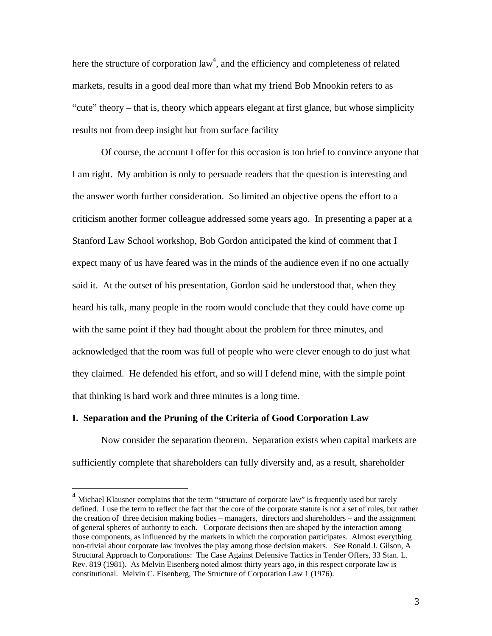here the structure of corporation  $law<sup>4</sup>$ , and the efficiency and completeness of related markets, results in a good deal more than what my friend Bob Mnookin refers to as "cute" theory – that is, theory which appears elegant at first glance, but whose simplicity results not from deep insight but from surface facility

Of course, the account I offer for this occasion is too brief to convince anyone that I am right. My ambition is only to persuade readers that the question is interesting and the answer worth further consideration. So limited an objective opens the effort to a criticism another former colleague addressed some years ago. In presenting a paper at a Stanford Law School workshop, Bob Gordon anticipated the kind of comment that I expect many of us have feared was in the minds of the audience even if no one actually said it. At the outset of his presentation, Gordon said he understood that, when they heard his talk, many people in the room would conclude that they could have come up with the same point if they had thought about the problem for three minutes, and acknowledged that the room was full of people who were clever enough to do just what they claimed. He defended his effort, and so will I defend mine, with the simple point that thinking is hard work and three minutes is a long time.

### **I. Separation and the Pruning of the Criteria of Good Corporation Law**

 $\overline{a}$ 

Now consider the separation theorem. Separation exists when capital markets are sufficiently complete that shareholders can fully diversify and, as a result, shareholder

 $<sup>4</sup>$  Michael Klausner complains that the term "structure of corporate law" is frequently used but rarely</sup> defined. I use the term to reflect the fact that the core of the corporate statute is not a set of rules, but rather the creation of three decision making bodies – managers, directors and shareholders – and the assignment of general spheres of authority to each. Corporate decisions then are shaped by the interaction among those components, as influenced by the markets in which the corporation participates. Almost everything non-trivial about corporate law involves the play among those decision makers. See Ronald J. Gilson, A Structural Approach to Corporations: The Case Against Defensive Tactics in Tender Offers, 33 Stan. L. Rev. 819 (1981). As Melvin Eisenberg noted almost thirty years ago, in this respect corporate law is constitutional. Melvin C. Eisenberg, The Structure of Corporation Law 1 (1976).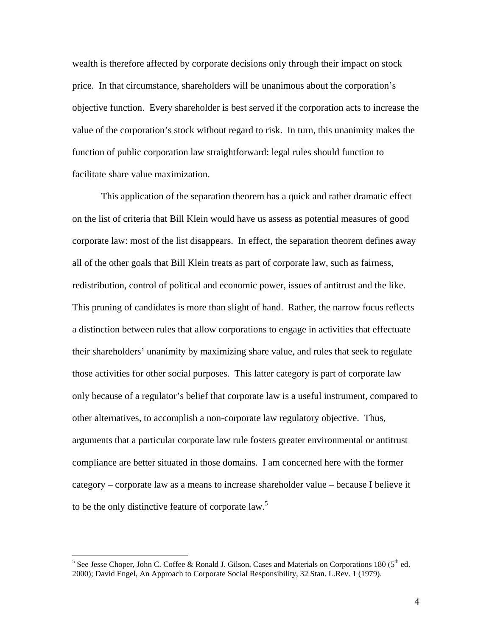wealth is therefore affected by corporate decisions only through their impact on stock price. In that circumstance, shareholders will be unanimous about the corporation's objective function. Every shareholder is best served if the corporation acts to increase the value of the corporation's stock without regard to risk. In turn, this unanimity makes the function of public corporation law straightforward: legal rules should function to facilitate share value maximization.

This application of the separation theorem has a quick and rather dramatic effect on the list of criteria that Bill Klein would have us assess as potential measures of good corporate law: most of the list disappears. In effect, the separation theorem defines away all of the other goals that Bill Klein treats as part of corporate law, such as fairness, redistribution, control of political and economic power, issues of antitrust and the like. This pruning of candidates is more than slight of hand. Rather, the narrow focus reflects a distinction between rules that allow corporations to engage in activities that effectuate their shareholders' unanimity by maximizing share value, and rules that seek to regulate those activities for other social purposes. This latter category is part of corporate law only because of a regulator's belief that corporate law is a useful instrument, compared to other alternatives, to accomplish a non-corporate law regulatory objective. Thus, arguments that a particular corporate law rule fosters greater environmental or antitrust compliance are better situated in those domains. I am concerned here with the former category – corporate law as a means to increase shareholder value – because I believe it to be the only distinctive feature of corporate law. 5

<sup>&</sup>lt;sup>5</sup> See Jesse Choper, John C. Coffee & Ronald J. Gilson, Cases and Materials on Corporations 180 ( $5<sup>th</sup>$  ed. 2000); David Engel, An Approach to Corporate Social Responsibility, 32 Stan. L.Rev. 1 (1979).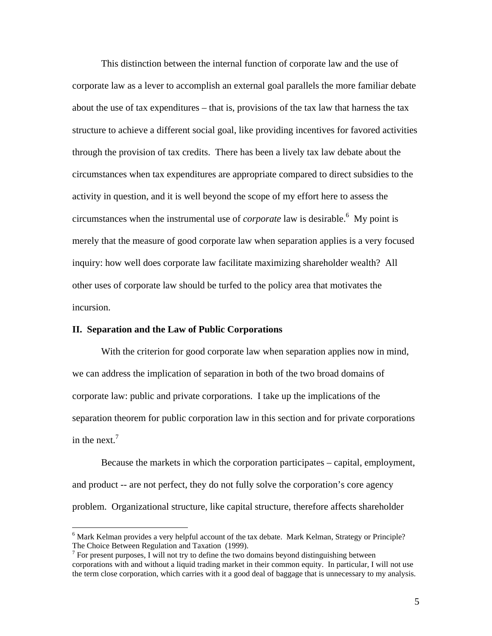This distinction between the internal function of corporate law and the use of corporate law as a lever to accomplish an external goal parallels the more familiar debate about the use of tax expenditures – that is, provisions of the tax law that harness the tax structure to achieve a different social goal, like providing incentives for favored activities through the provision of tax credits. There has been a lively tax law debate about the circumstances when tax expenditures are appropriate compared to direct subsidies to the activity in question, and it is well beyond the scope of my effort here to assess the circumstances when the instrumental use of *corporate* law is desirable.<sup>6</sup> My point is merely that the measure of good corporate law when separation applies is a very focused inquiry: how well does corporate law facilitate maximizing shareholder wealth? All other uses of corporate law should be turfed to the policy area that motivates the incursion.

### **II. Separation and the Law of Public Corporations**

 $\overline{a}$ 

With the criterion for good corporate law when separation applies now in mind, we can address the implication of separation in both of the two broad domains of corporate law: public and private corporations. I take up the implications of the separation theorem for public corporation law in this section and for private corporations in the next.<sup> $7$ </sup>

Because the markets in which the corporation participates – capital, employment, and product -- are not perfect, they do not fully solve the corporation's core agency problem. Organizational structure, like capital structure, therefore affects shareholder

<sup>&</sup>lt;sup>6</sup> Mark Kelman provides a very helpful account of the tax debate. Mark Kelman, Strategy or Principle? The Choice Between Regulation and Taxation (1999).

 $\frac{7}{1}$  For present purposes, I will not try to define the two domains beyond distinguishing between corporations with and without a liquid trading market in their common equity. In particular, I will not use the term close corporation, which carries with it a good deal of baggage that is unnecessary to my analysis.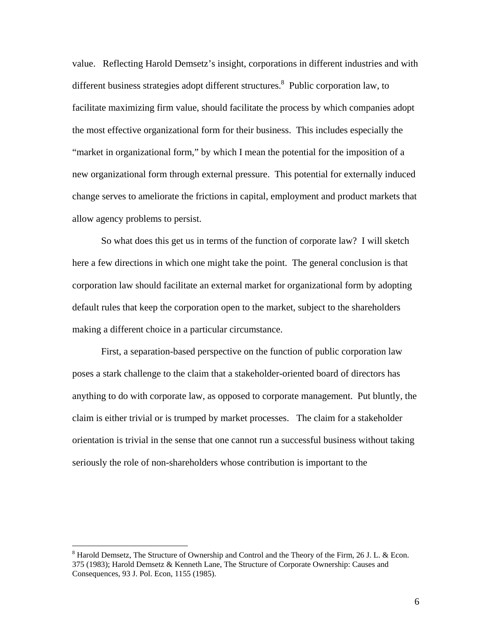value. Reflecting Harold Demsetz's insight, corporations in different industries and with different business strategies adopt different structures.<sup>8</sup> Public corporation law, to facilitate maximizing firm value, should facilitate the process by which companies adopt the most effective organizational form for their business. This includes especially the "market in organizational form," by which I mean the potential for the imposition of a new organizational form through external pressure. This potential for externally induced change serves to ameliorate the frictions in capital, employment and product markets that allow agency problems to persist.

So what does this get us in terms of the function of corporate law? I will sketch here a few directions in which one might take the point. The general conclusion is that corporation law should facilitate an external market for organizational form by adopting default rules that keep the corporation open to the market, subject to the shareholders making a different choice in a particular circumstance.

First, a separation-based perspective on the function of public corporation law poses a stark challenge to the claim that a stakeholder-oriented board of directors has anything to do with corporate law, as opposed to corporate management. Put bluntly, the claim is either trivial or is trumped by market processes. The claim for a stakeholder orientation is trivial in the sense that one cannot run a successful business without taking seriously the role of non-shareholders whose contribution is important to the

<sup>&</sup>lt;sup>8</sup> Harold Demsetz, The Structure of Ownership and Control and the Theory of the Firm, 26 J. L. & Econ. 375 (1983); Harold Demsetz & Kenneth Lane, The Structure of Corporate Ownership: Causes and Consequences, 93 J. Pol. Econ, 1155 (1985).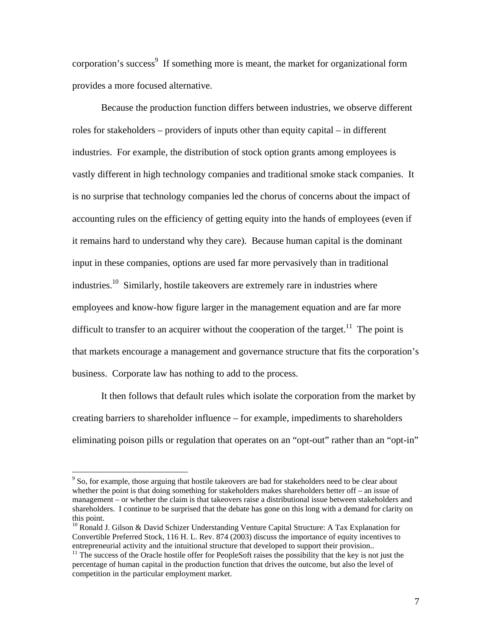corporation's success<sup>9</sup> If something more is meant, the market for organizational form provides a more focused alternative.

Because the production function differs between industries, we observe different roles for stakeholders – providers of inputs other than equity capital – in different industries. For example, the distribution of stock option grants among employees is vastly different in high technology companies and traditional smoke stack companies. It is no surprise that technology companies led the chorus of concerns about the impact of accounting rules on the efficiency of getting equity into the hands of employees (even if it remains hard to understand why they care). Because human capital is the dominant input in these companies, options are used far more pervasively than in traditional industries.10 Similarly, hostile takeovers are extremely rare in industries where employees and know-how figure larger in the management equation and are far more difficult to transfer to an acquirer without the cooperation of the target.<sup>11</sup> The point is that markets encourage a management and governance structure that fits the corporation's business. Corporate law has nothing to add to the process.

It then follows that default rules which isolate the corporation from the market by creating barriers to shareholder influence – for example, impediments to shareholders eliminating poison pills or regulation that operates on an "opt-out" rather than an "opt-in"

 $9^9$  So, for example, those arguing that hostile takeovers are bad for stakeholders need to be clear about whether the point is that doing something for stakeholders makes shareholders better off – an issue of management – or whether the claim is that takeovers raise a distributional issue between stakeholders and shareholders. I continue to be surprised that the debate has gone on this long with a demand for clarity on

 $10$  Ronald J. Gilson & David Schizer Understanding Venture Capital Structure: A Tax Explanation for Convertible Preferred Stock, 116 H. L. Rev. 874 (2003) discuss the importance of equity incentives to entrepreneurial activity and the intuitional structure that developed to support their provision.. <sup>11</sup> The success of the Oracle hostile offer for PeopleSoft raises the possibility that the key is not just the

percentage of human capital in the production function that drives the outcome, but also the level of competition in the particular employment market.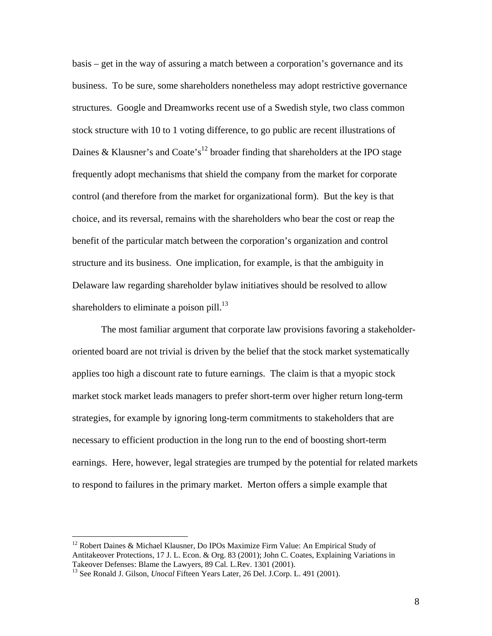basis – get in the way of assuring a match between a corporation's governance and its business. To be sure, some shareholders nonetheless may adopt restrictive governance structures. Google and Dreamworks recent use of a Swedish style, two class common stock structure with 10 to 1 voting difference, to go public are recent illustrations of Daines & Klausner's and Coate's<sup>12</sup> broader finding that shareholders at the IPO stage frequently adopt mechanisms that shield the company from the market for corporate control (and therefore from the market for organizational form). But the key is that choice, and its reversal, remains with the shareholders who bear the cost or reap the benefit of the particular match between the corporation's organization and control structure and its business. One implication, for example, is that the ambiguity in Delaware law regarding shareholder bylaw initiatives should be resolved to allow shareholders to eliminate a poison pill. $^{13}$ 

The most familiar argument that corporate law provisions favoring a stakeholderoriented board are not trivial is driven by the belief that the stock market systematically applies too high a discount rate to future earnings. The claim is that a myopic stock market stock market leads managers to prefer short-term over higher return long-term strategies, for example by ignoring long-term commitments to stakeholders that are necessary to efficient production in the long run to the end of boosting short-term earnings. Here, however, legal strategies are trumped by the potential for related markets to respond to failures in the primary market. Merton offers a simple example that

<sup>&</sup>lt;sup>12</sup> Robert Daines & Michael Klausner, Do IPOs Maximize Firm Value: An Empirical Study of Antitakeover Protections, 17 J. L. Econ. & Org. 83 (2001); John C. Coates, Explaining Variations in Takeover Defenses: Blame the Lawyers, 89 Cal. L.Rev. 1301 (2001).

<sup>&</sup>lt;sup>13</sup> See Ronald J. Gilson, *Unocal* Fifteen Years Later, 26 Del. J.Corp. L. 491 (2001).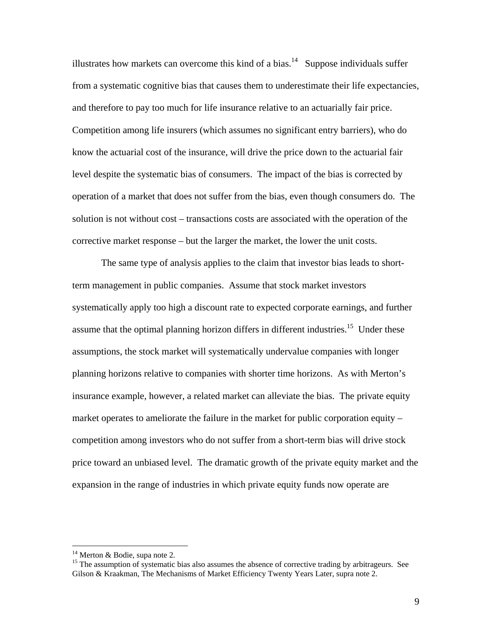illustrates how markets can overcome this kind of a bias.<sup>14</sup> Suppose individuals suffer from a systematic cognitive bias that causes them to underestimate their life expectancies, and therefore to pay too much for life insurance relative to an actuarially fair price. Competition among life insurers (which assumes no significant entry barriers), who do know the actuarial cost of the insurance, will drive the price down to the actuarial fair level despite the systematic bias of consumers. The impact of the bias is corrected by operation of a market that does not suffer from the bias, even though consumers do. The solution is not without cost – transactions costs are associated with the operation of the corrective market response – but the larger the market, the lower the unit costs.

The same type of analysis applies to the claim that investor bias leads to shortterm management in public companies. Assume that stock market investors systematically apply too high a discount rate to expected corporate earnings, and further assume that the optimal planning horizon differs in different industries.<sup>15</sup> Under these assumptions, the stock market will systematically undervalue companies with longer planning horizons relative to companies with shorter time horizons. As with Merton's insurance example, however, a related market can alleviate the bias. The private equity market operates to ameliorate the failure in the market for public corporation equity – competition among investors who do not suffer from a short-term bias will drive stock price toward an unbiased level. The dramatic growth of the private equity market and the expansion in the range of industries in which private equity funds now operate are

<sup>&</sup>lt;sup>14</sup> Merton & Bodie, supa note 2.<br><sup>15</sup> The assumption of systematic bias also assumes the absence of corrective trading by arbitrageurs. See Gilson & Kraakman, The Mechanisms of Market Efficiency Twenty Years Later, supra note 2.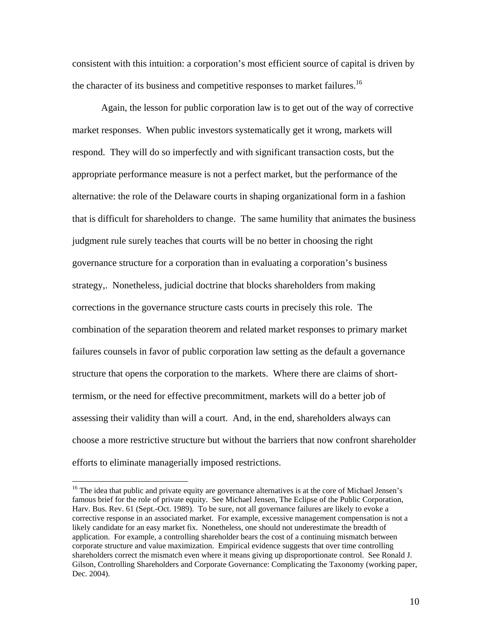consistent with this intuition: a corporation's most efficient source of capital is driven by the character of its business and competitive responses to market failures.<sup>16</sup>

Again, the lesson for public corporation law is to get out of the way of corrective market responses. When public investors systematically get it wrong, markets will respond. They will do so imperfectly and with significant transaction costs, but the appropriate performance measure is not a perfect market, but the performance of the alternative: the role of the Delaware courts in shaping organizational form in a fashion that is difficult for shareholders to change. The same humility that animates the business judgment rule surely teaches that courts will be no better in choosing the right governance structure for a corporation than in evaluating a corporation's business strategy,. Nonetheless, judicial doctrine that blocks shareholders from making corrections in the governance structure casts courts in precisely this role. The combination of the separation theorem and related market responses to primary market failures counsels in favor of public corporation law setting as the default a governance structure that opens the corporation to the markets. Where there are claims of shorttermism, or the need for effective precommitment, markets will do a better job of assessing their validity than will a court. And, in the end, shareholders always can choose a more restrictive structure but without the barriers that now confront shareholder efforts to eliminate managerially imposed restrictions.

<sup>&</sup>lt;sup>16</sup> The idea that public and private equity are governance alternatives is at the core of Michael Jensen's famous brief for the role of private equity. See Michael Jensen, The Eclipse of the Public Corporation, Harv. Bus. Rev. 61 (Sept.-Oct. 1989). To be sure, not all governance failures are likely to evoke a corrective response in an associated market. For example, excessive management compensation is not a likely candidate for an easy market fix. Nonetheless, one should not underestimate the breadth of application. For example, a controlling shareholder bears the cost of a continuing mismatch between corporate structure and value maximization. Empirical evidence suggests that over time controlling shareholders correct the mismatch even where it means giving up disproportionate control. See Ronald J. Gilson, Controlling Shareholders and Corporate Governance: Complicating the Taxonomy (working paper, Dec. 2004).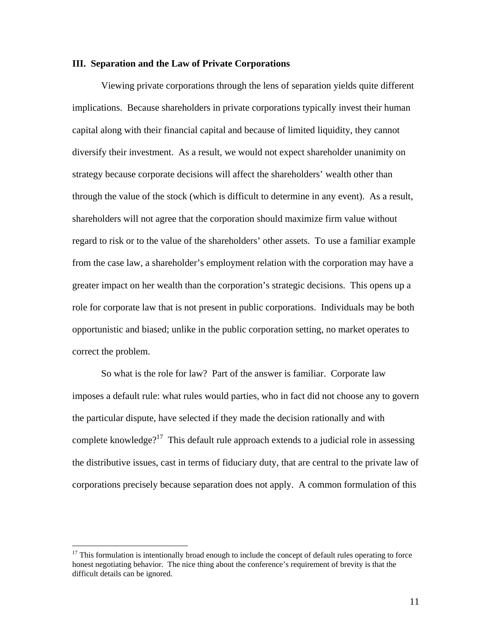### **III. Separation and the Law of Private Corporations**

Viewing private corporations through the lens of separation yields quite different implications. Because shareholders in private corporations typically invest their human capital along with their financial capital and because of limited liquidity, they cannot diversify their investment. As a result, we would not expect shareholder unanimity on strategy because corporate decisions will affect the shareholders' wealth other than through the value of the stock (which is difficult to determine in any event).As a result, shareholders will not agree that the corporation should maximize firm value without regard to risk or to the value of the shareholders' other assets. To use a familiar example from the case law, a shareholder's employment relation with the corporation may have a greater impact on her wealth than the corporation's strategic decisions. This opens up a role for corporate law that is not present in public corporations. Individuals may be both opportunistic and biased; unlike in the public corporation setting, no market operates to correct the problem.

So what is the role for law? Part of the answer is familiar. Corporate law imposes a default rule: what rules would parties, who in fact did not choose any to govern the particular dispute, have selected if they made the decision rationally and with complete knowledge?<sup>17</sup> This default rule approach extends to a judicial role in assessing the distributive issues, cast in terms of fiduciary duty, that are central to the private law of corporations precisely because separation does not apply. A common formulation of this

<sup>&</sup>lt;sup>17</sup> This formulation is intentionally broad enough to include the concept of default rules operating to force honest negotiating behavior. The nice thing about the conference's requirement of brevity is that the difficult details can be ignored.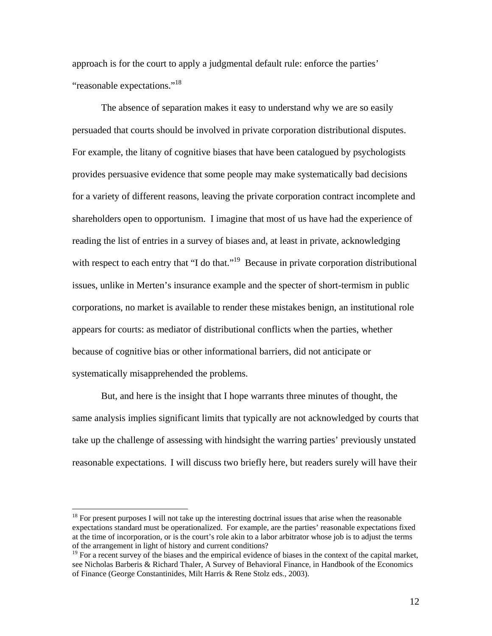approach is for the court to apply a judgmental default rule: enforce the parties' "reasonable expectations."<sup>18</sup>

The absence of separation makes it easy to understand why we are so easily persuaded that courts should be involved in private corporation distributional disputes. For example, the litany of cognitive biases that have been catalogued by psychologists provides persuasive evidence that some people may make systematically bad decisions for a variety of different reasons, leaving the private corporation contract incomplete and shareholders open to opportunism. I imagine that most of us have had the experience of reading the list of entries in a survey of biases and, at least in private, acknowledging with respect to each entry that "I do that."<sup>19</sup> Because in private corporation distributional issues, unlike in Merten's insurance example and the specter of short-termism in public corporations, no market is available to render these mistakes benign, an institutional role appears for courts: as mediator of distributional conflicts when the parties, whether because of cognitive bias or other informational barriers, did not anticipate or systematically misapprehended the problems.

But, and here is the insight that I hope warrants three minutes of thought, the same analysis implies significant limits that typically are not acknowledged by courts that take up the challenge of assessing with hindsight the warring parties' previously unstated reasonable expectations. I will discuss two briefly here, but readers surely will have their

<u>.</u>

 $18$  For present purposes I will not take up the interesting doctrinal issues that arise when the reasonable expectations standard must be operationalized. For example, are the parties' reasonable expectations fixed at the time of incorporation, or is the court's role akin to a labor arbitrator whose job is to adjust the terms of the arrangement in light of history and current conditions?

<sup>&</sup>lt;sup>19</sup> For a recent survey of the biases and the empirical evidence of biases in the context of the capital market, see Nicholas Barberis & Richard Thaler, A Survey of Behavioral Finance, in Handbook of the Economics of Finance (George Constantinides, Milt Harris & Rene Stolz eds., 2003).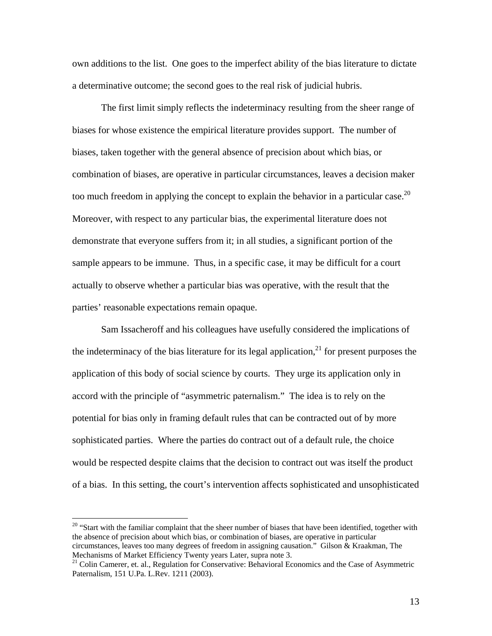own additions to the list. One goes to the imperfect ability of the bias literature to dictate a determinative outcome; the second goes to the real risk of judicial hubris.

The first limit simply reflects the indeterminacy resulting from the sheer range of biases for whose existence the empirical literature provides support. The number of biases, taken together with the general absence of precision about which bias, or combination of biases, are operative in particular circumstances, leaves a decision maker too much freedom in applying the concept to explain the behavior in a particular case.<sup>20</sup> Moreover, with respect to any particular bias, the experimental literature does not demonstrate that everyone suffers from it; in all studies, a significant portion of the sample appears to be immune. Thus, in a specific case, it may be difficult for a court actually to observe whether a particular bias was operative, with the result that the parties' reasonable expectations remain opaque.

Sam Issacheroff and his colleagues have usefully considered the implications of the indeterminacy of the bias literature for its legal application, $^{21}$  for present purposes the application of this body of social science by courts. They urge its application only in accord with the principle of "asymmetric paternalism." The idea is to rely on the potential for bias only in framing default rules that can be contracted out of by more sophisticated parties. Where the parties do contract out of a default rule, the choice would be respected despite claims that the decision to contract out was itself the product of a bias. In this setting, the court's intervention affects sophisticated and unsophisticated

<sup>&</sup>lt;sup>20</sup> "Start with the familiar complaint that the sheer number of biases that have been identified, together with the absence of precision about which bias, or combination of biases, are operative in particular circumstances, leaves too many degrees of freedom in assigning causation." Gilson & Kraakman, The Mechanisms of Market Efficiency Twenty years Later, supra note 3.<br><sup>21</sup> Colin Camerer, et. al., Regulation for Conservative: Behavioral Economics and the Case of Asymmetric

Paternalism, 151 U.Pa. L.Rev. 1211 (2003).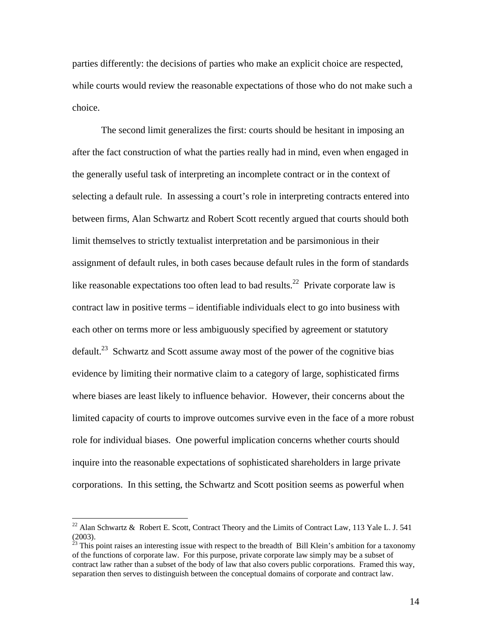parties differently: the decisions of parties who make an explicit choice are respected, while courts would review the reasonable expectations of those who do not make such a choice.

The second limit generalizes the first: courts should be hesitant in imposing an after the fact construction of what the parties really had in mind, even when engaged in the generally useful task of interpreting an incomplete contract or in the context of selecting a default rule. In assessing a court's role in interpreting contracts entered into between firms, Alan Schwartz and Robert Scott recently argued that courts should both limit themselves to strictly textualist interpretation and be parsimonious in their assignment of default rules, in both cases because default rules in the form of standards like reasonable expectations too often lead to bad results.<sup>22</sup> Private corporate law is contract law in positive terms – identifiable individuals elect to go into business with each other on terms more or less ambiguously specified by agreement or statutory default.<sup>23</sup> Schwartz and Scott assume away most of the power of the cognitive bias evidence by limiting their normative claim to a category of large, sophisticated firms where biases are least likely to influence behavior. However, their concerns about the limited capacity of courts to improve outcomes survive even in the face of a more robust role for individual biases. One powerful implication concerns whether courts should inquire into the reasonable expectations of sophisticated shareholders in large private corporations. In this setting, the Schwartz and Scott position seems as powerful when

<sup>&</sup>lt;sup>22</sup> Alan Schwartz & Robert E. Scott, Contract Theory and the Limits of Contract Law, 113 Yale L. J. 541

<sup>(2003).&</sup>lt;br><sup>23</sup> This point raises an interesting issue with respect to the breadth of Bill Klein's ambition for a taxonomy of the functions of corporate law. For this purpose, private corporate law simply may be a subset of contract law rather than a subset of the body of law that also covers public corporations. Framed this way, separation then serves to distinguish between the conceptual domains of corporate and contract law.